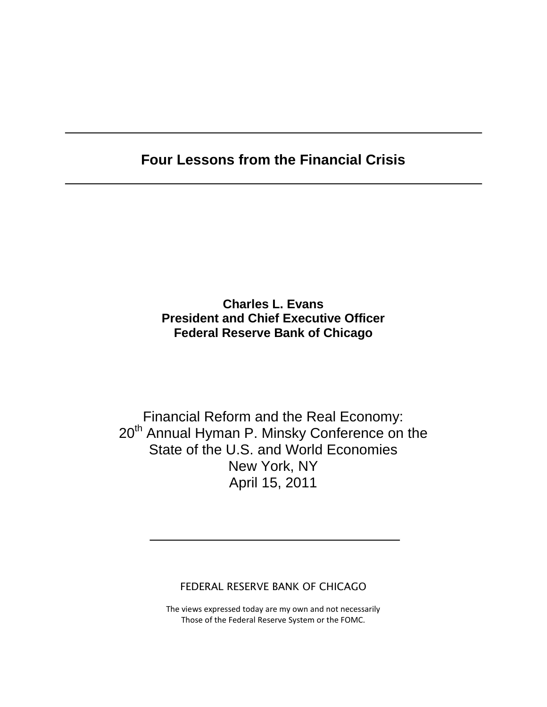# **Four Lessons from the Financial Crisis**

### **Charles L. Evans President and Chief Executive Officer Federal Reserve Bank of Chicago**

# Financial Reform and the Real Economy: 20<sup>th</sup> Annual Hyman P. Minsky Conference on the State of the U.S. and World Economies New York, NY April 15, 2011

FEDERAL RESERVE BANK OF CHICAGO

The views expressed today are my own and not necessarily Those of the Federal Reserve System or the FOMC.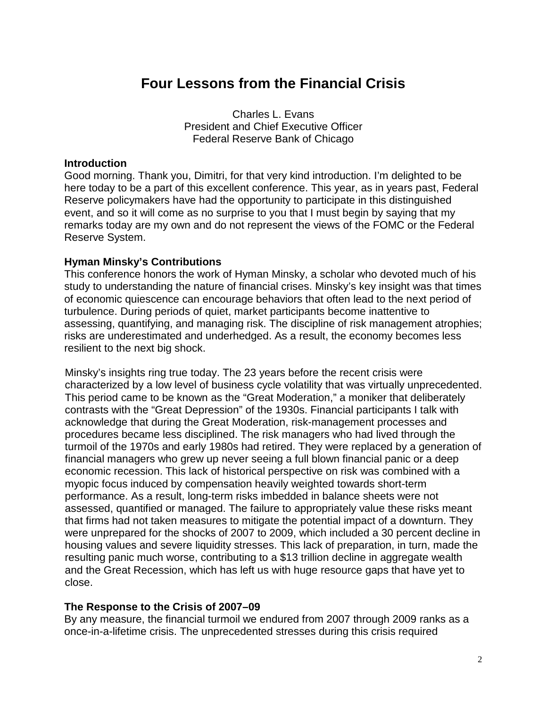# **Four Lessons from the Financial Crisis**

Charles L. Evans President and Chief Executive Officer Federal Reserve Bank of Chicago

#### **Introduction**

Good morning. Thank you, Dimitri, for that very kind introduction. I'm delighted to be here today to be a part of this excellent conference. This year, as in years past, Federal Reserve policymakers have had the opportunity to participate in this distinguished event, and so it will come as no surprise to you that I must begin by saying that my remarks today are my own and do not represent the views of the FOMC or the Federal Reserve System.

#### **Hyman Minsky's Contributions**

This conference honors the work of Hyman Minsky, a scholar who devoted much of his study to understanding the nature of financial crises. Minsky's key insight was that times of economic quiescence can encourage behaviors that often lead to the next period of turbulence. During periods of quiet, market participants become inattentive to assessing, quantifying, and managing risk. The discipline of risk management atrophies; risks are underestimated and underhedged. As a result, the economy becomes less resilient to the next big shock.

Minsky's insights ring true today. The 23 years before the recent crisis were characterized by a low level of business cycle volatility that was virtually unprecedented. This period came to be known as the "Great Moderation," a moniker that deliberately contrasts with the "Great Depression" of the 1930s. Financial participants I talk with acknowledge that during the Great Moderation, risk-management processes and procedures became less disciplined. The risk managers who had lived through the turmoil of the 1970s and early 1980s had retired. They were replaced by a generation of financial managers who grew up never seeing a full blown financial panic or a deep economic recession. This lack of historical perspective on risk was combined with a myopic focus induced by compensation heavily weighted towards short-term performance. As a result, long-term risks imbedded in balance sheets were not assessed, quantified or managed. The failure to appropriately value these risks meant that firms had not taken measures to mitigate the potential impact of a downturn. They were unprepared for the shocks of 2007 to 2009, which included a 30 percent decline in housing values and severe liquidity stresses. This lack of preparation, in turn, made the resulting panic much worse, contributing to a \$13 trillion decline in aggregate wealth and the Great Recession, which has left us with huge resource gaps that have yet to close.

#### **The Response to the Crisis of 2007–09**

By any measure, the financial turmoil we endured from 2007 through 2009 ranks as a once-in-a-lifetime crisis. The unprecedented stresses during this crisis required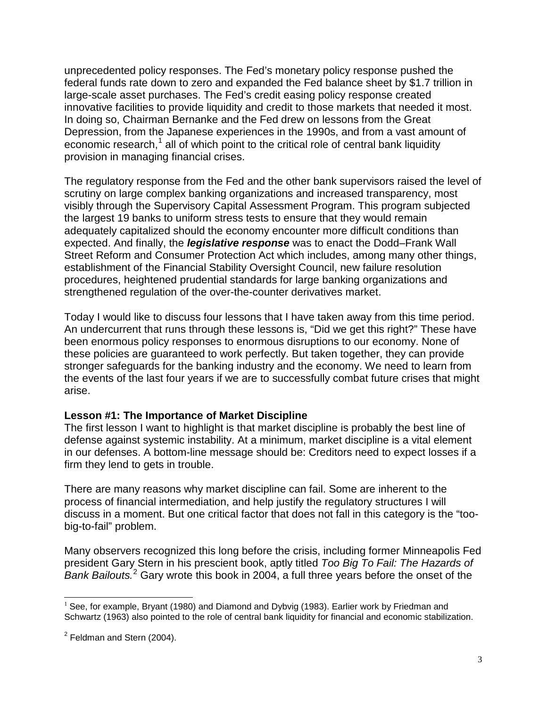unprecedented policy responses. The Fed's monetary policy response pushed the federal funds rate down to zero and expanded the Fed balance sheet by \$1.7 trillion in large-scale asset purchases. The Fed's credit easing policy response created innovative facilities to provide liquidity and credit to those markets that needed it most. In doing so, Chairman Bernanke and the Fed drew on lessons from the Great Depression, from the Japanese experiences in the 1990s, and from a vast amount of economic research,<sup>[1](#page-2-0)</sup> all of which point to the critical role of central bank liquidity provision in managing financial crises.

The regulatory response from the Fed and the other bank supervisors raised the level of scrutiny on large complex banking organizations and increased transparency, most visibly through the Supervisory Capital Assessment Program. This program subjected the largest 19 banks to uniform stress tests to ensure that they would remain adequately capitalized should the economy encounter more difficult conditions than expected. And finally, the *legislative response* was to enact the Dodd–Frank Wall Street Reform and Consumer Protection Act which includes, among many other things, establishment of the Financial Stability Oversight Council, new failure resolution procedures, heightened prudential standards for large banking organizations and strengthened regulation of the over-the-counter derivatives market.

Today I would like to discuss four lessons that I have taken away from this time period. An undercurrent that runs through these lessons is, "Did we get this right?" These have been enormous policy responses to enormous disruptions to our economy. None of these policies are guaranteed to work perfectly. But taken together, they can provide stronger safeguards for the banking industry and the economy. We need to learn from the events of the last four years if we are to successfully combat future crises that might arise.

#### **Lesson #1: The Importance of Market Discipline**

The first lesson I want to highlight is that market discipline is probably the best line of defense against systemic instability. At a minimum, market discipline is a vital element in our defenses. A bottom-line message should be: Creditors need to expect losses if a firm they lend to gets in trouble.

There are many reasons why market discipline can fail. Some are inherent to the process of financial intermediation, and help justify the regulatory structures I will discuss in a moment. But one critical factor that does not fall in this category is the "toobig-to-fail" problem.

Many observers recognized this long before the crisis, including former Minneapolis Fed president Gary Stern in his prescient book, aptly titled *Too Big To Fail: The Hazards of*  Bank Bailouts.<sup>[2](#page-2-1)</sup> Gary wrote this book in 2004, a full three years before the onset of the

<span id="page-2-0"></span> $<sup>1</sup>$  See, for example, Bryant (1980) and Diamond and Dybvig (1983). Earlier work by Friedman and</sup> Schwartz (1963) also pointed to the role of central bank liquidity for financial and economic stabilization.

<span id="page-2-1"></span> $2$  Feldman and Stern (2004).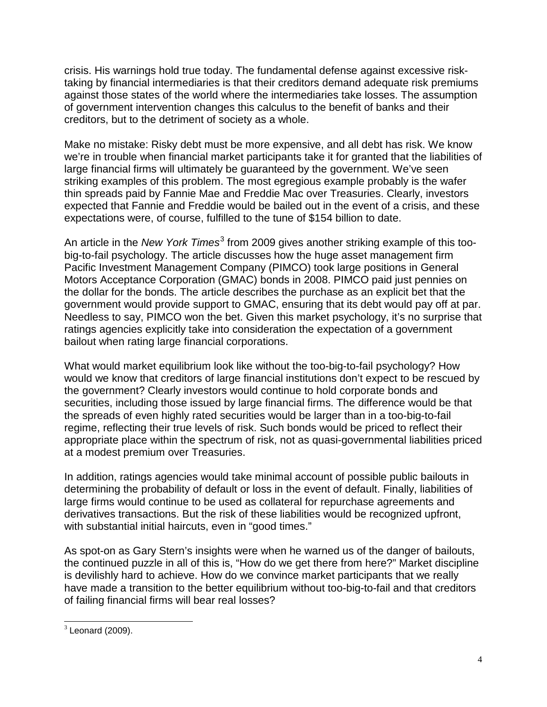crisis. His warnings hold true today. The fundamental defense against excessive risktaking by financial intermediaries is that their creditors demand adequate risk premiums against those states of the world where the intermediaries take losses. The assumption of government intervention changes this calculus to the benefit of banks and their creditors, but to the detriment of society as a whole.

Make no mistake: Risky debt must be more expensive, and all debt has risk. We know we're in trouble when financial market participants take it for granted that the liabilities of large financial firms will ultimately be guaranteed by the government. We've seen striking examples of this problem. The most egregious example probably is the wafer thin spreads paid by Fannie Mae and Freddie Mac over Treasuries. Clearly, investors expected that Fannie and Freddie would be bailed out in the event of a crisis, and these expectations were, of course, fulfilled to the tune of \$154 billion to date.

An article in the *New York Times*<sup>[3](#page-3-0)</sup> from 2009 gives another striking example of this toobig-to-fail psychology. The article discusses how the huge asset management firm Pacific Investment Management Company (PIMCO) took large positions in General Motors Acceptance Corporation (GMAC) bonds in 2008. PIMCO paid just pennies on the dollar for the bonds. The article describes the purchase as an explicit bet that the government would provide support to GMAC, ensuring that its debt would pay off at par. Needless to say, PIMCO won the bet. Given this market psychology, it's no surprise that ratings agencies explicitly take into consideration the expectation of a government bailout when rating large financial corporations.

What would market equilibrium look like without the too-big-to-fail psychology? How would we know that creditors of large financial institutions don't expect to be rescued by the government? Clearly investors would continue to hold corporate bonds and securities, including those issued by large financial firms. The difference would be that the spreads of even highly rated securities would be larger than in a too-big-to-fail regime, reflecting their true levels of risk. Such bonds would be priced to reflect their appropriate place within the spectrum of risk, not as quasi-governmental liabilities priced at a modest premium over Treasuries.

In addition, ratings agencies would take minimal account of possible public bailouts in determining the probability of default or loss in the event of default. Finally, liabilities of large firms would continue to be used as collateral for repurchase agreements and derivatives transactions. But the risk of these liabilities would be recognized upfront, with substantial initial haircuts, even in "good times."

As spot-on as Gary Stern's insights were when he warned us of the danger of bailouts, the continued puzzle in all of this is, "How do we get there from here?" Market discipline is devilishly hard to achieve. How do we convince market participants that we really have made a transition to the better equilibrium without too-big-to-fail and that creditors of failing financial firms will bear real losses?

<span id="page-3-0"></span> $3$  Leonard (2009).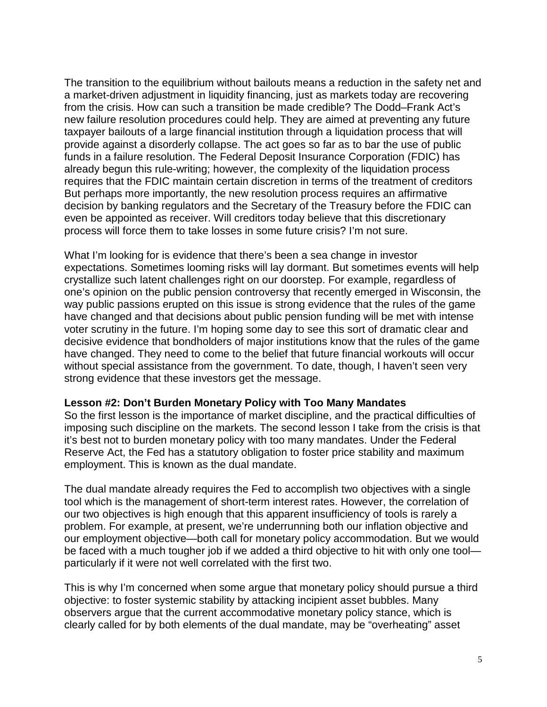The transition to the equilibrium without bailouts means a reduction in the safety net and a market-driven adjustment in liquidity financing, just as markets today are recovering from the crisis. How can such a transition be made credible? The Dodd–Frank Act's new failure resolution procedures could help. They are aimed at preventing any future taxpayer bailouts of a large financial institution through a liquidation process that will provide against a disorderly collapse. The act goes so far as to bar the use of public funds in a failure resolution. The Federal Deposit Insurance Corporation (FDIC) has already begun this rule-writing; however, the complexity of the liquidation process requires that the FDIC maintain certain discretion in terms of the treatment of creditors But perhaps more importantly, the new resolution process requires an affirmative decision by banking regulators and the Secretary of the Treasury before the FDIC can even be appointed as receiver. Will creditors today believe that this discretionary process will force them to take losses in some future crisis? I'm not sure.

What I'm looking for is evidence that there's been a sea change in investor expectations. Sometimes looming risks will lay dormant. But sometimes events will help crystallize such latent challenges right on our doorstep. For example, regardless of one's opinion on the public pension controversy that recently emerged in Wisconsin, the way public passions erupted on this issue is strong evidence that the rules of the game have changed and that decisions about public pension funding will be met with intense voter scrutiny in the future. I'm hoping some day to see this sort of dramatic clear and decisive evidence that bondholders of major institutions know that the rules of the game have changed. They need to come to the belief that future financial workouts will occur without special assistance from the government. To date, though, I haven't seen very strong evidence that these investors get the message.

#### **Lesson #2: Don't Burden Monetary Policy with Too Many Mandates**

So the first lesson is the importance of market discipline, and the practical difficulties of imposing such discipline on the markets. The second lesson I take from the crisis is that it's best not to burden monetary policy with too many mandates. Under the Federal Reserve Act, the Fed has a statutory obligation to foster price stability and maximum employment. This is known as the dual mandate.

The dual mandate already requires the Fed to accomplish two objectives with a single tool which is the management of short-term interest rates. However, the correlation of our two objectives is high enough that this apparent insufficiency of tools is rarely a problem. For example, at present, we're underrunning both our inflation objective and our employment objective—both call for monetary policy accommodation. But we would be faced with a much tougher job if we added a third objective to hit with only one tool particularly if it were not well correlated with the first two.

This is why I'm concerned when some argue that monetary policy should pursue a third objective: to foster systemic stability by attacking incipient asset bubbles. Many observers argue that the current accommodative monetary policy stance, which is clearly called for by both elements of the dual mandate, may be "overheating" asset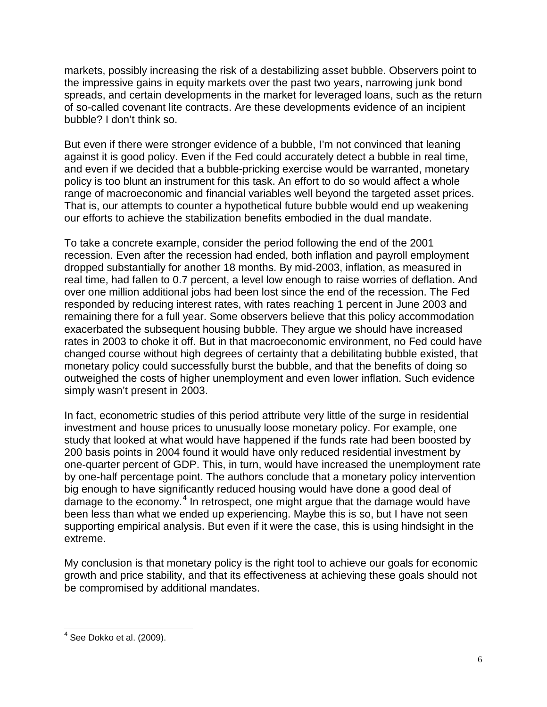markets, possibly increasing the risk of a destabilizing asset bubble. Observers point to the impressive gains in equity markets over the past two years, narrowing junk bond spreads, and certain developments in the market for leveraged loans, such as the return of so-called covenant lite contracts. Are these developments evidence of an incipient bubble? I don't think so.

But even if there were stronger evidence of a bubble, I'm not convinced that leaning against it is good policy. Even if the Fed could accurately detect a bubble in real time, and even if we decided that a bubble-pricking exercise would be warranted, monetary policy is too blunt an instrument for this task. An effort to do so would affect a whole range of macroeconomic and financial variables well beyond the targeted asset prices. That is, our attempts to counter a hypothetical future bubble would end up weakening our efforts to achieve the stabilization benefits embodied in the dual mandate.

To take a concrete example, consider the period following the end of the 2001 recession. Even after the recession had ended, both inflation and payroll employment dropped substantially for another 18 months. By mid-2003, inflation, as measured in real time, had fallen to 0.7 percent, a level low enough to raise worries of deflation. And over one million additional jobs had been lost since the end of the recession. The Fed responded by reducing interest rates, with rates reaching 1 percent in June 2003 and remaining there for a full year. Some observers believe that this policy accommodation exacerbated the subsequent housing bubble. They argue we should have increased rates in 2003 to choke it off. But in that macroeconomic environment, no Fed could have changed course without high degrees of certainty that a debilitating bubble existed, that monetary policy could successfully burst the bubble, and that the benefits of doing so outweighed the costs of higher unemployment and even lower inflation. Such evidence simply wasn't present in 2003.

In fact, econometric studies of this period attribute very little of the surge in residential investment and house prices to unusually loose monetary policy. For example, one study that looked at what would have happened if the funds rate had been boosted by 200 basis points in 2004 found it would have only reduced residential investment by one-quarter percent of GDP. This, in turn, would have increased the unemployment rate by one-half percentage point. The authors conclude that a monetary policy intervention big enough to have significantly reduced housing would have done a good deal of damage to the economy.<sup>[4](#page-5-0)</sup> In retrospect, one might argue that the damage would have been less than what we ended up experiencing. Maybe this is so, but I have not seen supporting empirical analysis. But even if it were the case, this is using hindsight in the extreme.

My conclusion is that monetary policy is the right tool to achieve our goals for economic growth and price stability, and that its effectiveness at achieving these goals should not be compromised by additional mandates.

<span id="page-5-0"></span> $<sup>4</sup>$  See Dokko et al. (2009).</sup>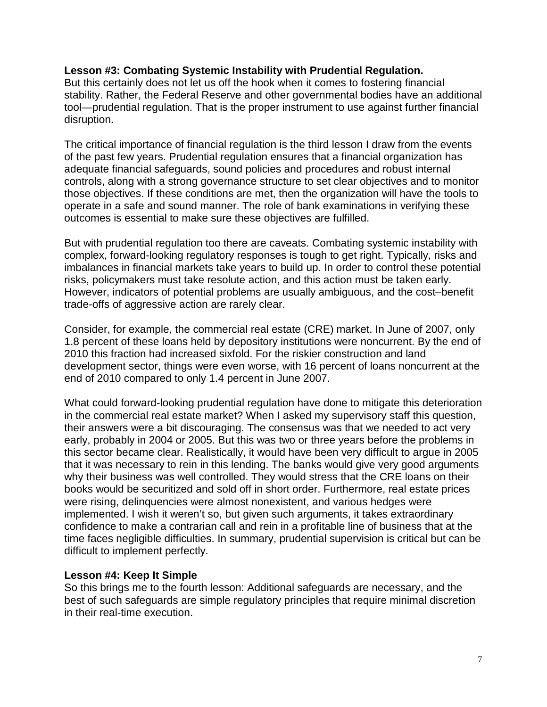#### **Lesson #3: Combating Systemic Instability with Prudential Regulation.**

But this certainly does not let us off the hook when it comes to fostering financial stability. Rather, the Federal Reserve and other governmental bodies have an additional tool—prudential regulation. That is the proper instrument to use against further financial disruption.

The critical importance of financial regulation is the third lesson I draw from the events of the past few years. Prudential regulation ensures that a financial organization has adequate financial safeguards, sound policies and procedures and robust internal controls, along with a strong governance structure to set clear objectives and to monitor those objectives. If these conditions are met, then the organization will have the tools to operate in a safe and sound manner. The role of bank examinations in verifying these outcomes is essential to make sure these objectives are fulfilled.

But with prudential regulation too there are caveats. Combating systemic instability with complex, forward-looking regulatory responses is tough to get right. Typically, risks and imbalances in financial markets take years to build up. In order to control these potential risks, policymakers must take resolute action, and this action must be taken early. However, indicators of potential problems are usually ambiguous, and the cost–benefit trade-offs of aggressive action are rarely clear.

Consider, for example, the commercial real estate (CRE) market. In June of 2007, only 1.8 percent of these loans held by depository institutions were noncurrent. By the end of 2010 this fraction had increased sixfold. For the riskier construction and land development sector, things were even worse, with 16 percent of loans noncurrent at the end of 2010 compared to only 1.4 percent in June 2007.

What could forward-looking prudential regulation have done to mitigate this deterioration in the commercial real estate market? When I asked my supervisory staff this question, their answers were a bit discouraging. The consensus was that we needed to act very early, probably in 2004 or 2005. But this was two or three years before the problems in this sector became clear. Realistically, it would have been very difficult to argue in 2005 that it was necessary to rein in this lending. The banks would give very good arguments why their business was well controlled. They would stress that the CRE loans on their books would be securitized and sold off in short order. Furthermore, real estate prices were rising, delinquencies were almost nonexistent, and various hedges were implemented. I wish it weren't so, but given such arguments, it takes extraordinary confidence to make a contrarian call and rein in a profitable line of business that at the time faces negligible difficulties. In summary, prudential supervision is critical but can be difficult to implement perfectly.

#### **Lesson #4: Keep It Simple**

So this brings me to the fourth lesson: Additional safeguards are necessary, and the best of such safeguards are simple regulatory principles that require minimal discretion in their real-time execution.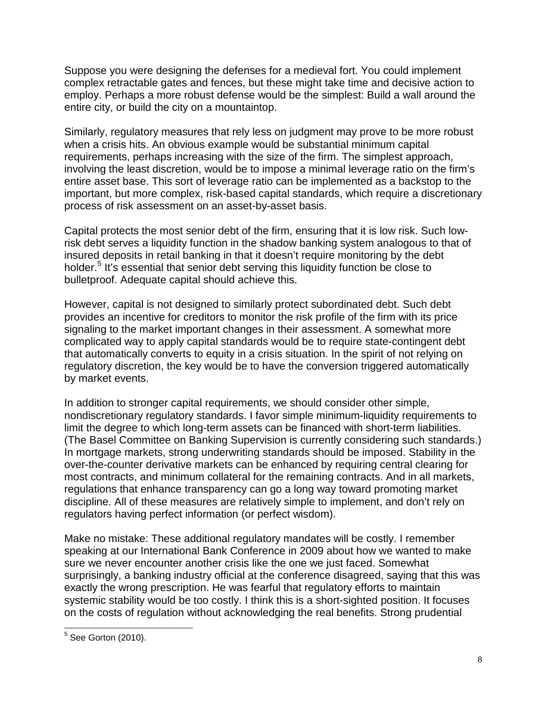Suppose you were designing the defenses for a medieval fort. You could implement complex retractable gates and fences, but these might take time and decisive action to employ. Perhaps a more robust defense would be the simplest: Build a wall around the entire city, or build the city on a mountaintop.

Similarly, regulatory measures that rely less on judgment may prove to be more robust when a crisis hits. An obvious example would be substantial minimum capital requirements, perhaps increasing with the size of the firm. The simplest approach, involving the least discretion, would be to impose a minimal leverage ratio on the firm's entire asset base. This sort of leverage ratio can be implemented as a backstop to the important, but more complex, risk-based capital standards, which require a discretionary process of risk assessment on an asset-by-asset basis.

Capital protects the most senior debt of the firm, ensuring that it is low risk. Such lowrisk debt serves a liquidity function in the shadow banking system analogous to that of insured deposits in retail banking in that it doesn't require monitoring by the debt holder.<sup>[5](#page-7-0)</sup> It's essential that senior debt serving this liquidity function be close to bulletproof. Adequate capital should achieve this.

However, capital is not designed to similarly protect subordinated debt. Such debt provides an incentive for creditors to monitor the risk profile of the firm with its price signaling to the market important changes in their assessment. A somewhat more complicated way to apply capital standards would be to require state-contingent debt that automatically converts to equity in a crisis situation. In the spirit of not relying on regulatory discretion, the key would be to have the conversion triggered automatically by market events.

In addition to stronger capital requirements, we should consider other simple, nondiscretionary regulatory standards. I favor simple minimum-liquidity requirements to limit the degree to which long-term assets can be financed with short-term liabilities. (The Basel Committee on Banking Supervision is currently considering such standards.) In mortgage markets, strong underwriting standards should be imposed. Stability in the over-the-counter derivative markets can be enhanced by requiring central clearing for most contracts, and minimum collateral for the remaining contracts. And in all markets, regulations that enhance transparency can go a long way toward promoting market discipline. All of these measures are relatively simple to implement, and don't rely on regulators having perfect information (or perfect wisdom).

Make no mistake: These additional regulatory mandates will be costly. I remember speaking at our International Bank Conference in 2009 about how we wanted to make sure we never encounter another crisis like the one we just faced. Somewhat surprisingly, a banking industry official at the conference disagreed, saying that this was exactly the wrong prescription. He was fearful that regulatory efforts to maintain systemic stability would be too costly. I think this is a short-sighted position. It focuses on the costs of regulation without acknowledging the real benefits. Strong prudential

<span id="page-7-0"></span> $5$  See Gorton (2010).